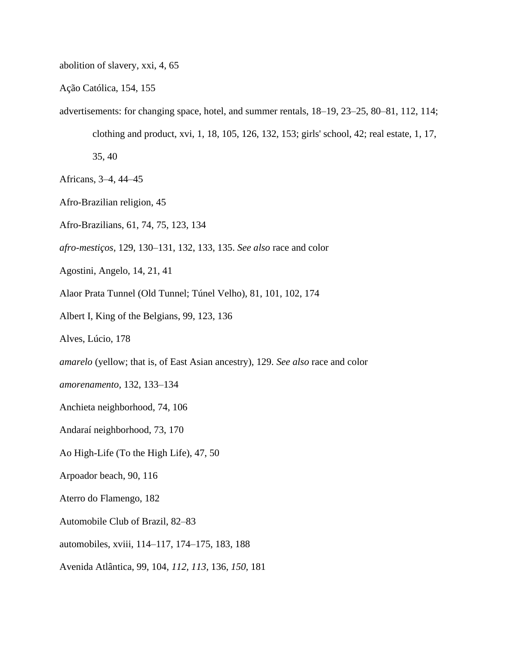abolition of slavery, xxi, 4, 65

Ação Católica, 154, 155

advertisements: for changing space, hotel, and summer rentals, 18–19, 23–25, 80–81, 112, 114; clothing and product, xvi, 1, 18, 105, 126, 132, 153; girls' school, 42; real estate, 1, 17,

35, 40

- Africans, 3–4, 44–45
- Afro-Brazilian religion, 45
- Afro-Brazilians, 61, 74, 75, 123, 134
- *afro-mestiços,* 129, 130–131, 132, 133, 135. *See also* race and color
- Agostini, Angelo, 14, 21, 41
- Alaor Prata Tunnel (Old Tunnel; Túnel Velho), 81, 101, 102, 174
- Albert I, King of the Belgians, 99, 123, 136

Alves, Lúcio, 178

- *amarelo* (yellow; that is, of East Asian ancestry), 129. *See also* race and color
- *amorenamento,* 132, 133–134
- Anchieta neighborhood, 74, 106
- Andaraí neighborhood, 73, 170
- Ao High-Life (To the High Life), 47, 50
- Arpoador beach, 90, 116
- Aterro do Flamengo, 182
- Automobile Club of Brazil, 82–83
- automobiles, xviii, 114–117, 174–175, 183, 188
- Avenida Atlântica, 99, 104, *112, 113,* 136, *150,* 181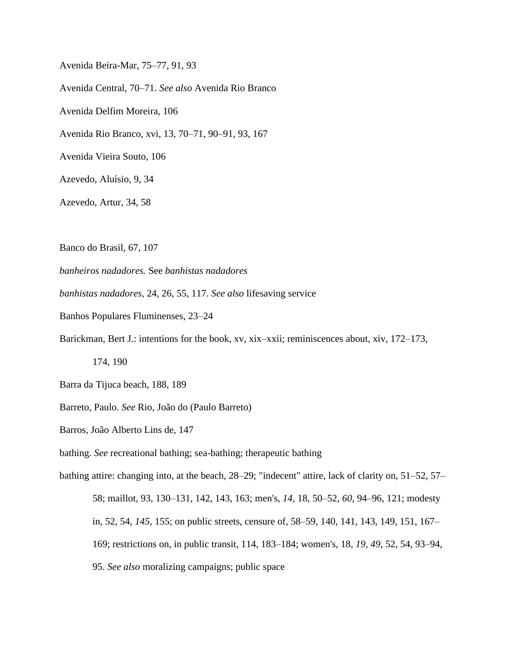Avenida Beira-Mar, 75–77, 91, 93 Avenida Central, 70–71. *See also* Avenida Rio Branco Avenida Delfim Moreira, 106 Avenida Rio Branco, xvi, 13, 70–71, 90–91, 93, 167 Avenida Vieira Souto, 106 Azevedo, Aluísio, 9, 34 Azevedo, Artur, 34, 58

Banco do Brasil, 67, 107

*banheiros nadadores.* See *banhistas nadadores*

*banhistas nadadores,* 24, 26, 55, 117. *See also* lifesaving service

Banhos Populares Fluminenses, 23–24

Barickman, Bert J.: intentions for the book, xv, xix–xxii; reminiscences about, xiv, 172–173,

174, 190

Barra da Tijuca beach, 188, 189

Barreto, Paulo. *See* Rio, João do (Paulo Barreto)

Barros, João Alberto Lins de, 147

bathing. *See* recreational bathing; sea-bathing; therapeutic bathing

bathing attire: changing into, at the beach, 28–29; "indecent" attire, lack of clarity on, 51–52, 57– 58; maillot, 93, 130–131, 142, 143, 163; men's, *14,* 18, 50–52, *60,* 94–96, 121; modesty in, 52, 54, *145,* 155; on public streets, censure of, 58–59, 140, 141, 143, 149, 151, 167– 169; restrictions on, in public transit, 114, 183–184; women's, 18, *19, 49,* 52, 54, 93–94, 95. *See also* moralizing campaigns; public space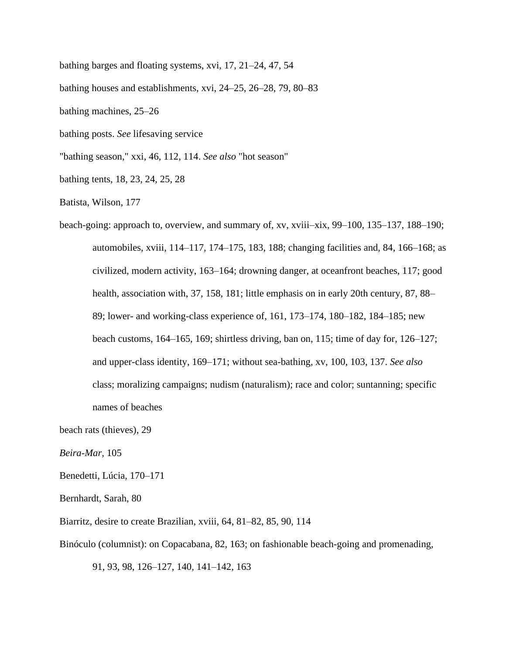bathing barges and floating systems, xvi, 17, 21–24, 47, 54

bathing houses and establishments, xvi, 24–25, 26–28, 79, 80–83

bathing machines, 25–26

bathing posts. *See* lifesaving service

"bathing season," xxi, 46, 112, 114. *See also* "hot season"

bathing tents, 18, 23, 24, 25, 28

Batista, Wilson, 177

beach-going: approach to, overview, and summary of, xv, xviii–xix, 99–100, 135–137, 188–190; automobiles, xviii, 114–117, 174–175, 183, 188; changing facilities and, 84, 166–168; as civilized, modern activity, 163–164; drowning danger, at oceanfront beaches, 117; good health, association with, 37, 158, 181; little emphasis on in early 20th century, 87, 88– 89; lower- and working-class experience of, 161, 173–174, 180–182, 184–185; new beach customs, 164–165, 169; shirtless driving, ban on, 115; time of day for, 126–127; and upper-class identity, 169–171; without sea-bathing, xv, 100, 103, 137. *See also* class; moralizing campaigns; nudism (naturalism); race and color; suntanning; specific names of beaches

beach rats (thieves), 29

*Beira-Mar,* 105

Benedetti, Lúcia, 170–171

Bernhardt, Sarah, 80

Biarritz, desire to create Brazilian, xviii, 64, 81–82, 85, 90, 114

Binóculo (columnist): on Copacabana, 82, 163; on fashionable beach-going and promenading,

91, 93, 98, 126–127, 140, 141–142, 163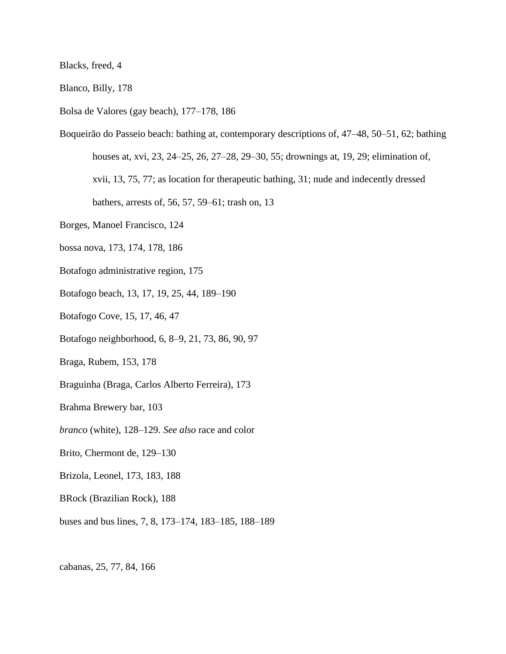Blacks, freed, 4

Blanco, Billy, 178

Bolsa de Valores (gay beach), 177–178, 186

Boqueirão do Passeio beach: bathing at, contemporary descriptions of, 47–48, 50–51, 62; bathing houses at, xvi, 23, 24–25, 26, 27–28, 29–30, 55; drownings at, 19, 29; elimination of, xvii, 13, 75, 77; as location for therapeutic bathing, 31; nude and indecently dressed bathers, arrests of, 56, 57, 59–61; trash on, 13

Borges, Manoel Francisco, 124

bossa nova, 173, 174, 178, 186

Botafogo administrative region, 175

Botafogo beach, 13, 17, 19, 25, 44, 189–190

Botafogo Cove, 15, 17, 46, 47

Botafogo neighborhood, 6, 8–9, 21, 73, 86, 90, 97

Braga, Rubem, 153, 178

Braguinha (Braga, Carlos Alberto Ferreira), 173

Brahma Brewery bar, 103

*branco* (white), 128–129. *See also* race and color

Brito, Chermont de, 129–130

Brizola, Leonel, 173, 183, 188

BRock (Brazilian Rock), 188

buses and bus lines, 7, 8, 173–174, 183–185, 188–189

cabanas, 25, 77, 84, 166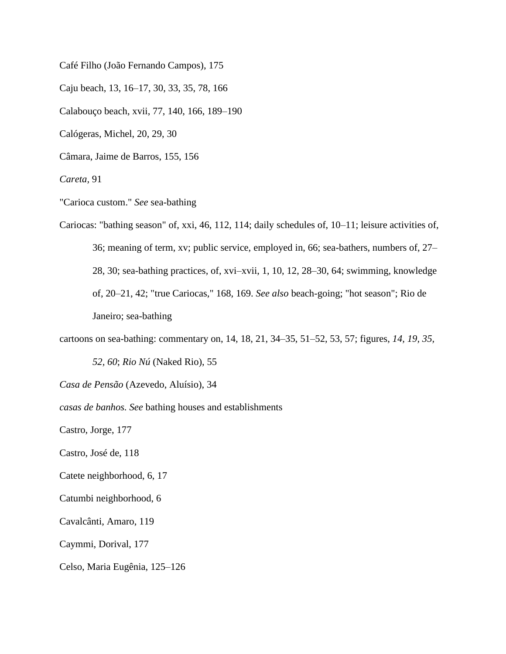Café Filho (João Fernando Campos), 175

Caju beach, 13, 16–17, 30, 33, 35, 78, 166

Calabouço beach, xvii, 77, 140, 166, 189–190

Calógeras, Michel, 20, 29, 30

Câmara, Jaime de Barros, 155, 156

*Careta,* 91

"Carioca custom." *See* sea-bathing

Cariocas: "bathing season" of, xxi, 46, 112, 114; daily schedules of, 10–11; leisure activities of, 36; meaning of term, xv; public service, employed in, 66; sea-bathers, numbers of, 27– 28, 30; sea-bathing practices, of, xvi–xvii, 1, 10, 12, 28–30, 64; swimming, knowledge of, 20–21, 42; "true Cariocas," 168, 169. *See also* beach-going; "hot season"; Rio de Janeiro; sea-bathing

cartoons on sea-bathing: commentary on, 14, 18, 21, 34–35, 51–52, 53, 57; figures, *14, 19, 35,*

*52, 60*; *Rio Nú* (Naked Rio), 55

*Casa de Pensão* (Azevedo, Aluísio), 34

*casas de banhos. See* bathing houses and establishments

Castro, Jorge, 177

Castro, José de, 118

Catete neighborhood, 6, 17

Catumbi neighborhood, 6

Cavalcânti, Amaro, 119

Caymmi, Dorival, 177

Celso, Maria Eugênia, 125–126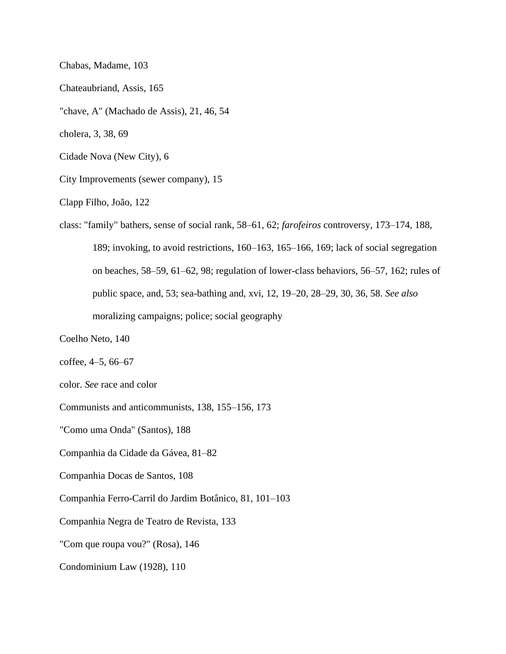Chabas, Madame, 103

Chateaubriand, Assis, 165

"chave, A" (Machado de Assis), 21, 46, 54

cholera, 3, 38, 69

Cidade Nova (New City), 6

City Improvements (sewer company), 15

Clapp Filho, João, 122

class: "family" bathers, sense of social rank, 58–61, 62; *farofeiros* controversy, 173–174, 188, 189; invoking, to avoid restrictions, 160–163, 165–166, 169; lack of social segregation on beaches, 58–59, 61–62, 98; regulation of lower-class behaviors, 56–57, 162; rules of public space, and, 53; sea-bathing and, xvi, 12, 19–20, 28–29, 30, 36, 58. *See also* moralizing campaigns; police; social geography

Coelho Neto, 140

coffee, 4–5, 66–67

color. *See* race and color

Communists and anticommunists, 138, 155–156, 173

"Como uma Onda" (Santos), 188

Companhia da Cidade da Gávea, 81–82

Companhia Docas de Santos, 108

Companhia Ferro-Carril do Jardim Botânico, 81, 101–103

Companhia Negra de Teatro de Revista, 133

"Com que roupa vou?" (Rosa), 146

Condominium Law (1928), 110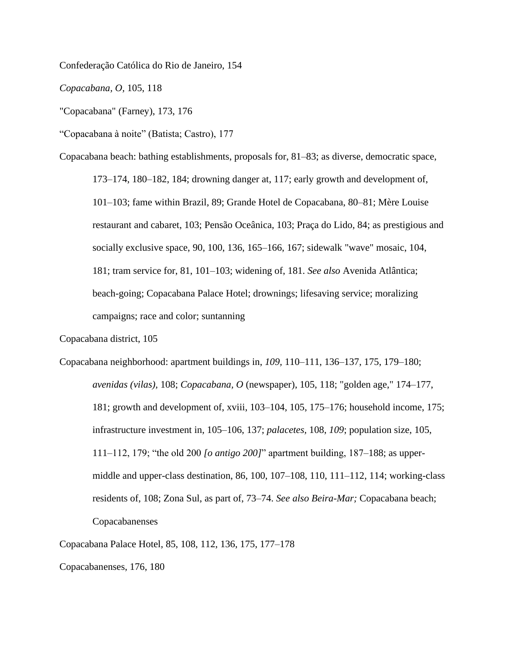Confederação Católica do Rio de Janeiro, 154

*Copacabana, O,* 105, 118

"Copacabana" (Farney), 173, 176

"Copacabana à noite" (Batista; Castro), 177

Copacabana beach: bathing establishments, proposals for, 81–83; as diverse, democratic space,

173–174, 180–182, 184; drowning danger at, 117; early growth and development of, 101–103; fame within Brazil, 89; Grande Hotel de Copacabana, 80–81; Mère Louise restaurant and cabaret, 103; Pensão Oceânica, 103; Praça do Lido, 84; as prestigious and socially exclusive space, 90, 100, 136, 165–166, 167; sidewalk "wave" mosaic, 104, 181; tram service for, 81, 101–103; widening of, 181. *See also* Avenida Atlântica; beach-going; Copacabana Palace Hotel; drownings; lifesaving service; moralizing campaigns; race and color; suntanning

Copacabana district, 105

Copacabana neighborhood: apartment buildings in, *109,* 110–111, 136–137, 175, 179–180; *avenidas (vilas),* 108; *Copacabana, O* (newspaper), 105, 118; "golden age," 174–177, 181; growth and development of, xviii, 103–104, 105, 175–176; household income, 175; infrastructure investment in, 105–106, 137; *palacetes,* 108, *109*; population size, 105, 111–112, 179; "the old 200 *[o antigo 200]*" apartment building, 187–188; as uppermiddle and upper-class destination, 86, 100, 107–108, 110, 111–112, 114; working-class residents of, 108; Zona Sul, as part of, 73–74. *See also Beira-Mar;* Copacabana beach; Copacabanenses

Copacabana Palace Hotel, 85, 108, 112, 136, 175, 177–178

Copacabanenses, 176, 180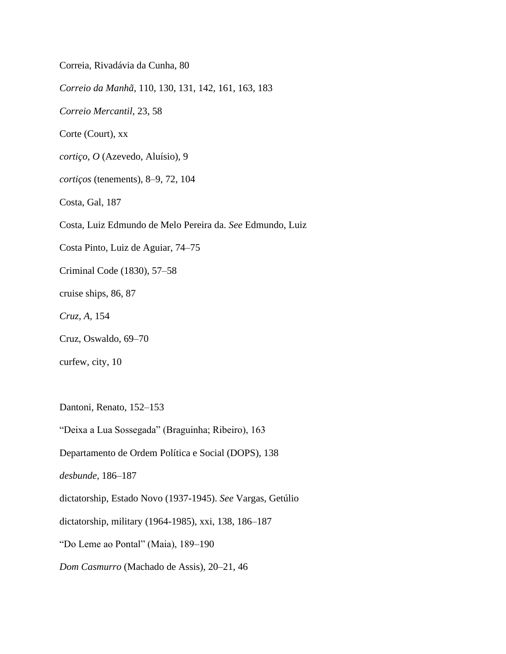Correia, Rivadávia da Cunha, 80 *Correio da Manhã,* 110, 130, 131, 142, 161, 163, 183 *Correio Mercantil,* 23, 58 Corte (Court), xx *cortiço, O* (Azevedo, Aluísio), 9 *cortiços* (tenements), 8–9, 72, 104 Costa, Gal, 187 Costa, Luiz Edmundo de Melo Pereira da. *See* Edmundo, Luiz Costa Pinto, Luiz de Aguiar, 74–75 Criminal Code (1830), 57–58 cruise ships, 86, 87 *Cruz, A,* 154 Cruz, Oswaldo, 69–70 curfew, city, 10

Dantoni, Renato, 152–153

"Deixa a Lua Sossegada" (Braguinha; Ribeiro), 163

Departamento de Ordem Política e Social (DOPS), 138

*desbunde,* 186–187

dictatorship, Estado Novo (1937-1945). *See* Vargas, Getúlio

dictatorship, military (1964-1985), xxi, 138, 186–187

"Do Leme ao Pontal" (Maia), 189–190

*Dom Casmurro* (Machado de Assis), 20–21, 46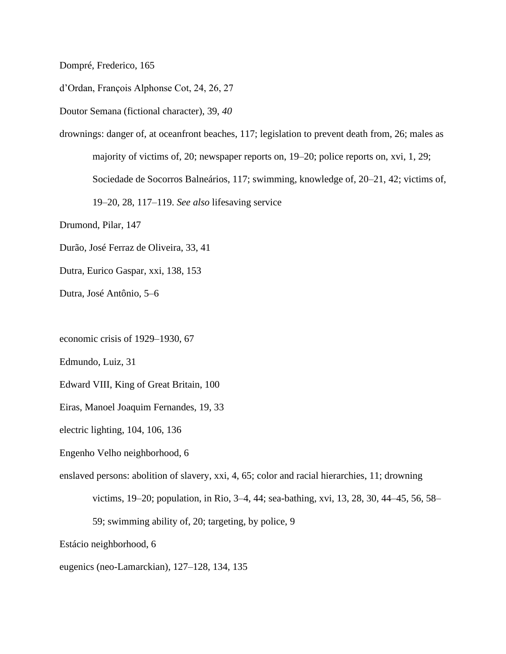Dompré, Frederico, 165

d'Ordan, François Alphonse Cot, 24, 26, 27

Doutor Semana (fictional character), 39, *40*

drownings: danger of, at oceanfront beaches, 117; legislation to prevent death from, 26; males as majority of victims of, 20; newspaper reports on, 19–20; police reports on, xvi, 1, 29; Sociedade de Socorros Balneários, 117; swimming, knowledge of, 20–21, 42; victims of, 19–20, 28, 117–119. *See also* lifesaving service

Drumond, Pilar, 147

Durão, José Ferraz de Oliveira, 33, 41

Dutra, Eurico Gaspar, xxi, 138, 153

Dutra, José Antônio, 5–6

economic crisis of 1929–1930, 67

Edmundo, Luiz, 31

Edward VIII, King of Great Britain, 100

Eiras, Manoel Joaquim Fernandes, 19, 33

electric lighting, 104, 106, 136

Engenho Velho neighborhood, 6

enslaved persons: abolition of slavery, xxi, 4, 65; color and racial hierarchies, 11; drowning

victims, 19–20; population, in Rio, 3–4, 44; sea-bathing, xvi, 13, 28, 30, 44–45, 56, 58–

59; swimming ability of, 20; targeting, by police, 9

Estácio neighborhood, 6

eugenics (neo-Lamarckian), 127–128, 134, 135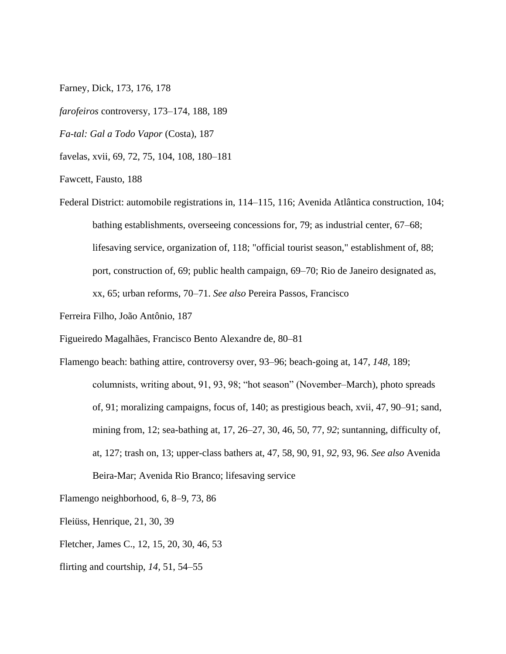Farney, Dick, 173, 176, 178

*farofeiros* controversy, 173–174, 188, 189

*Fa-tal: Gal a Todo Vapor* (Costa), 187

favelas, xvii, 69, 72, 75, 104, 108, 180–181

Fawcett, Fausto, 188

Federal District: automobile registrations in, 114–115, 116; Avenida Atlântica construction, 104; bathing establishments, overseeing concessions for, 79; as industrial center, 67–68; lifesaving service, organization of, 118; "official tourist season," establishment of, 88; port, construction of, 69; public health campaign, 69–70; Rio de Janeiro designated as, xx, 65; urban reforms, 70–71. *See also* Pereira Passos, Francisco

Ferreira Filho, João Antônio, 187

Figueiredo Magalhães, Francisco Bento Alexandre de, 80–81

Flamengo beach: bathing attire, controversy over, 93–96; beach-going at, 147, *148,* 189; columnists, writing about, 91, 93, 98; "hot season" (November–March), photo spreads of, 91; moralizing campaigns, focus of, 140; as prestigious beach, xvii, 47, 90–91; sand, mining from, 12; sea-bathing at, 17, 26–27, 30, 46, 50, 77, *92*; suntanning, difficulty of, at, 127; trash on, 13; upper-class bathers at, 47, 58, 90, 91, *92,* 93, 96. *See also* Avenida Beira-Mar; Avenida Rio Branco; lifesaving service

Flamengo neighborhood, 6, 8–9, 73, 86

Fleiüss, Henrique, 21, 30, 39

Fletcher, James C., 12, 15, 20, 30, 46, 53

flirting and courtship, *14,* 51, 54–55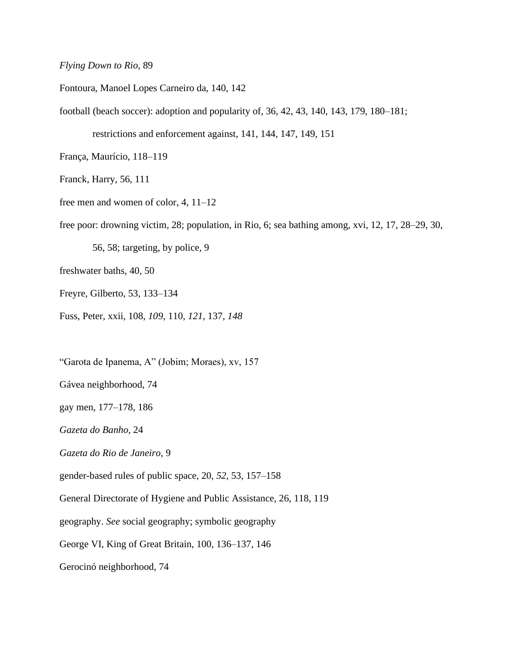## *Flying Down to Rio,* 89

Fontoura, Manoel Lopes Carneiro da, 140, 142

football (beach soccer): adoption and popularity of, 36, 42, 43, 140, 143, 179, 180–181;

restrictions and enforcement against, 141, 144, 147, 149, 151

França, Maurício, 118–119

Franck, Harry, 56, 111

free men and women of color, 4, 11–12

free poor: drowning victim, 28; population, in Rio, 6; sea bathing among, xvi, 12, 17, 28–29, 30,

56, 58; targeting, by police, 9

freshwater baths, 40, 50

Freyre, Gilberto, 53, 133–134

Fuss, Peter, xxii, 108, *109,* 110, *121,* 137, *148*

"Garota de Ipanema, A" (Jobim; Moraes), xv, 157

Gávea neighborhood, 74

gay men, 177–178, 186

*Gazeta do Banho,* 24

*Gazeta do Rio de Janeiro,* 9

gender-based rules of public space, 20, *52,* 53, 157–158

General Directorate of Hygiene and Public Assistance, 26, 118, 119

geography. *See* social geography; symbolic geography

George VI, King of Great Britain, 100, 136–137, 146

Gerocinó neighborhood, 74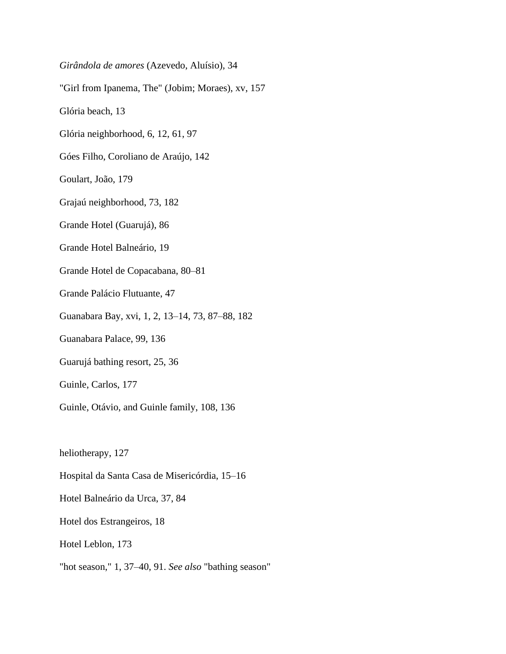*Girândola de amores* (Azevedo, Aluísio), 34

"Girl from Ipanema, The" (Jobim; Moraes), xv, 157

Glória beach, 13

Glória neighborhood, 6, 12, 61, 97

Góes Filho, Coroliano de Araújo, 142

Goulart, João, 179

Grajaú neighborhood, 73, 182

Grande Hotel (Guarujá), 86

Grande Hotel Balneário, 19

Grande Hotel de Copacabana, 80–81

Grande Palácio Flutuante, 47

Guanabara Bay, xvi, 1, 2, 13–14, 73, 87–88, 182

Guanabara Palace, 99, 136

Guarujá bathing resort, 25, 36

Guinle, Carlos, 177

Guinle, Otávio, and Guinle family, 108, 136

heliotherapy, 127

Hospital da Santa Casa de Misericórdia, 15–16

Hotel Balneário da Urca, 37, 84

Hotel dos Estrangeiros, 18

Hotel Leblon, 173

"hot season," 1, 37–40, 91. *See also* "bathing season"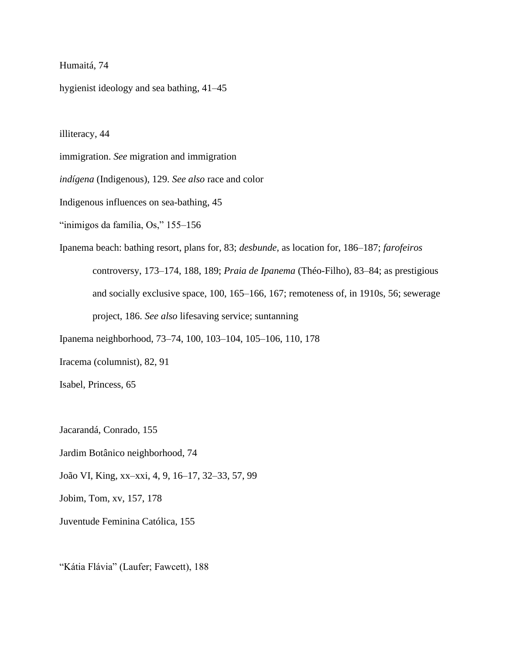## Humaitá, 74

hygienist ideology and sea bathing, 41–45

illiteracy, 44

immigration. *See* migration and immigration

*indígena* (Indigenous), 129. *See also* race and color

Indigenous influences on sea-bathing, 45

"inimigos da família, Os," 155–156

Ipanema beach: bathing resort, plans for, 83; *desbunde,* as location for, 186–187; *farofeiros* controversy, 173–174, 188, 189; *Praia de Ipanema* (Théo-Filho), 83–84; as prestigious and socially exclusive space, 100, 165–166, 167; remoteness of, in 1910s, 56; sewerage project, 186. *See also* lifesaving service; suntanning

Ipanema neighborhood, 73–74, 100, 103–104, 105–106, 110, 178

Iracema (columnist), 82, 91

Isabel, Princess, 65

Jacarandá, Conrado, 155

Jardim Botânico neighborhood, 74

João VI, King, xx–xxi, 4, 9, 16–17, 32–33, 57, 99

Jobim, Tom, xv, 157, 178

Juventude Feminina Católica, 155

"Kátia Flávia" (Laufer; Fawcett), 188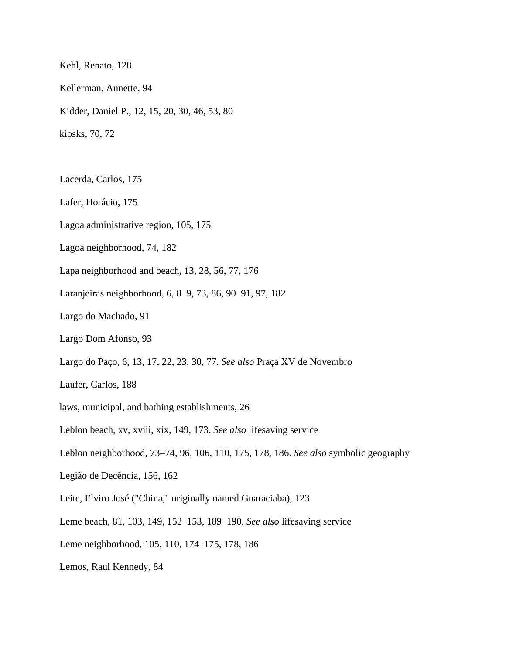Kehl, Renato, 128

- Kellerman, Annette, 94
- Kidder, Daniel P., 12, 15, 20, 30, 46, 53, 80

kiosks, 70, 72

- Lacerda, Carlos, 175
- Lafer, Horácio, 175
- Lagoa administrative region, 105, 175
- Lagoa neighborhood, 74, 182
- Lapa neighborhood and beach, 13, 28, 56, 77, 176
- Laranjeiras neighborhood, 6, 8–9, 73, 86, 90–91, 97, 182
- Largo do Machado, 91
- Largo Dom Afonso, 93
- Largo do Paço, 6, 13, 17, 22, 23, 30, 77. *See also* Praça XV de Novembro
- Laufer, Carlos, 188
- laws, municipal, and bathing establishments, 26
- Leblon beach, xv, xviii, xix, 149, 173. *See also* lifesaving service
- Leblon neighborhood, 73–74, 96, 106, 110, 175, 178, 186. *See also* symbolic geography
- Legião de Decência, 156, 162
- Leite, Elviro José ("China," originally named Guaraciaba), 123
- Leme beach, 81, 103, 149, 152–153, 189–190. *See also* lifesaving service
- Leme neighborhood, 105, 110, 174–175, 178, 186
- Lemos, Raul Kennedy, 84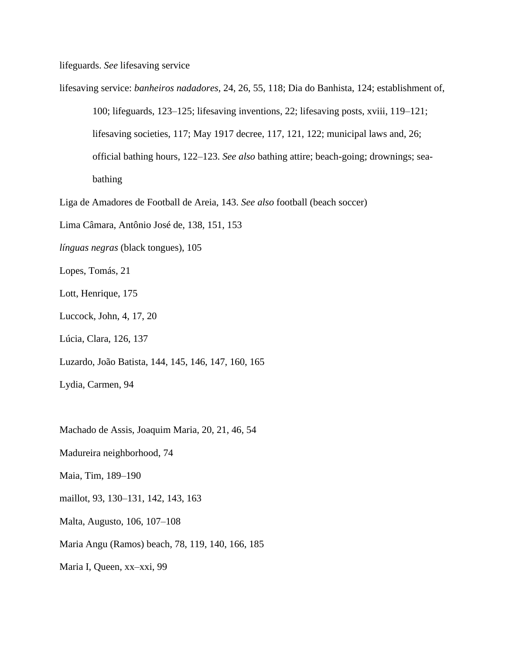lifeguards. *See* lifesaving service

lifesaving service: *banheiros nadadores,* 24, 26, 55, 118; Dia do Banhista, 124; establishment of,

100; lifeguards, 123–125; lifesaving inventions, 22; lifesaving posts, xviii, 119–121; lifesaving societies, 117; May 1917 decree, 117, 121, 122; municipal laws and, 26; official bathing hours, 122–123. *See also* bathing attire; beach-going; drownings; seabathing

Liga de Amadores de Football de Areia, 143. *See also* football (beach soccer)

Lima Câmara, Antônio José de, 138, 151, 153

*línguas negras* (black tongues), 105

Lopes, Tomás, 21

Lott, Henrique, 175

Luccock, John, 4, 17, 20

Lúcia, Clara, 126, 137

Luzardo, João Batista, 144, 145, 146, 147, 160, 165

Lydia, Carmen, 94

Machado de Assis, Joaquim Maria, 20, 21, 46, 54

Madureira neighborhood, 74

Maia, Tim, 189–190

maillot, 93, 130–131, 142, 143, 163

Malta, Augusto, 106, 107–108

Maria Angu (Ramos) beach, 78, 119, 140, 166, 185

Maria I, Queen, xx–xxi, 99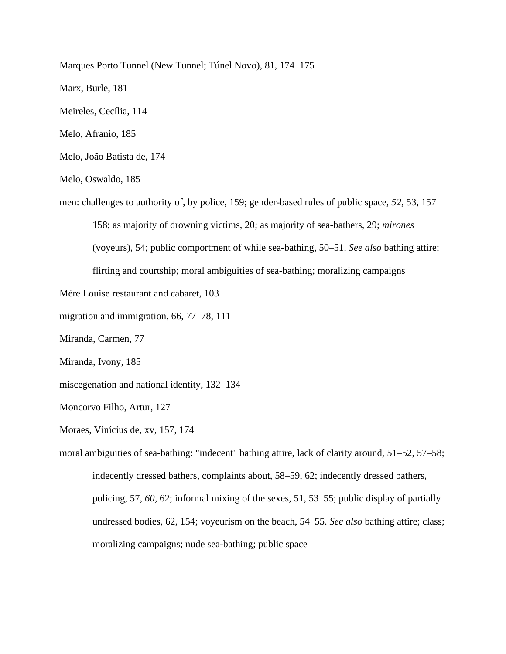Marques Porto Tunnel (New Tunnel; Túnel Novo), 81, 174–175

Marx, Burle, 181

Meireles, Cecília, 114

Melo, Afranio, 185

Melo, João Batista de, 174

Melo, Oswaldo, 185

men: challenges to authority of, by police, 159; gender-based rules of public space, *52,* 53, 157–

158; as majority of drowning victims, 20; as majority of sea-bathers, 29; *mirones*

(voyeurs), 54; public comportment of while sea-bathing, 50–51. *See also* bathing attire;

flirting and courtship; moral ambiguities of sea-bathing; moralizing campaigns

Mère Louise restaurant and cabaret, 103

migration and immigration, 66, 77–78, 111

Miranda, Carmen, 77

Miranda, Ivony, 185

miscegenation and national identity, 132–134

Moncorvo Filho, Artur, 127

Moraes, Vinícius de, xv, 157, 174

moral ambiguities of sea-bathing: "indecent" bathing attire, lack of clarity around, 51–52, 57–58; indecently dressed bathers, complaints about, 58–59, 62; indecently dressed bathers, policing, 57, *60,* 62; informal mixing of the sexes, 51, 53–55; public display of partially undressed bodies, 62, 154; voyeurism on the beach, 54–55. *See also* bathing attire; class; moralizing campaigns; nude sea-bathing; public space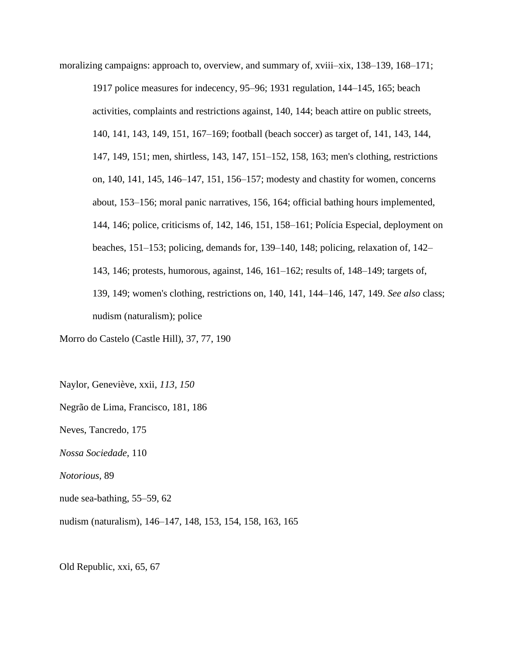moralizing campaigns: approach to, overview, and summary of, xviii–xix, 138–139, 168–171;

1917 police measures for indecency, 95–96; 1931 regulation, 144–145, 165; beach activities, complaints and restrictions against, 140, 144; beach attire on public streets, 140, 141, 143, 149, 151, 167–169; football (beach soccer) as target of, 141, 143, 144, 147, 149, 151; men, shirtless, 143, 147, 151–152, 158, 163; men's clothing, restrictions on, 140, 141, 145, 146–147, 151, 156–157; modesty and chastity for women, concerns about, 153–156; moral panic narratives, 156, 164; official bathing hours implemented, 144, 146; police, criticisms of, 142, 146, 151, 158–161; Polícia Especial, deployment on beaches, 151–153; policing, demands for, 139–140, 148; policing, relaxation of, 142– 143, 146; protests, humorous, against, 146, 161–162; results of, 148–149; targets of, 139, 149; women's clothing, restrictions on, 140, 141, 144–146, 147, 149. *See also* class; nudism (naturalism); police

Morro do Castelo (Castle Hill), 37, 77, 190

Naylor, Geneviève, xxii, *113, 150* Negrão de Lima, Francisco, 181, 186 Neves, Tancredo, 175 *Nossa Sociedade,* 110 *Notorious,* 89 nude sea-bathing, 55–59, 62 nudism (naturalism), 146–147, 148, 153, 154, 158, 163, 165

Old Republic, xxi, 65, 67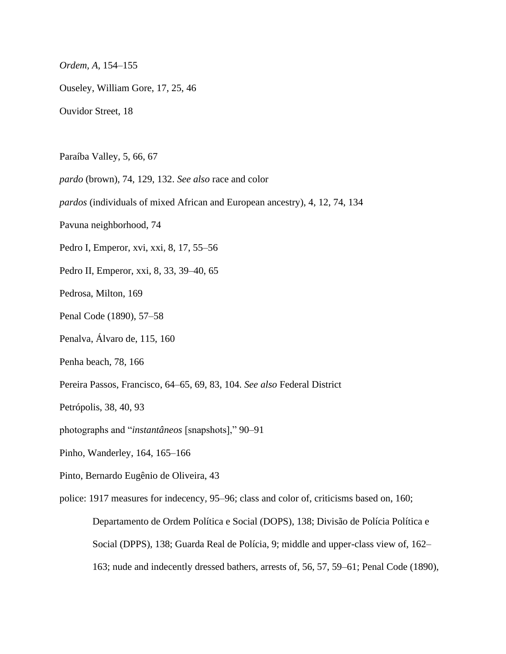*Ordem, A,* 154–155

Ouseley, William Gore, 17, 25, 46

Ouvidor Street, 18

Paraíba Valley, 5, 66, 67

*pardo* (brown), 74, 129, 132. *See also* race and color

*pardos* (individuals of mixed African and European ancestry), 4, 12, 74, 134

Pavuna neighborhood, 74

Pedro I, Emperor, xvi, xxi, 8, 17, 55–56

Pedro II, Emperor, xxi, 8, 33, 39–40, 65

Pedrosa, Milton, 169

Penal Code (1890), 57–58

Penalva, Álvaro de, 115, 160

Penha beach, 78, 166

Pereira Passos, Francisco, 64–65, 69, 83, 104. *See also* Federal District

Petrópolis, 38, 40, 93

photographs and "*instantâneos* [snapshots]," 90–91

Pinho, Wanderley, 164, 165–166

Pinto, Bernardo Eugênio de Oliveira, 43

police: 1917 measures for indecency, 95–96; class and color of, criticisms based on, 160; Departamento de Ordem Política e Social (DOPS), 138; Divisão de Polícia Política e Social (DPPS), 138; Guarda Real de Polícia, 9; middle and upper-class view of, 162– 163; nude and indecently dressed bathers, arrests of, 56, 57, 59–61; Penal Code (1890),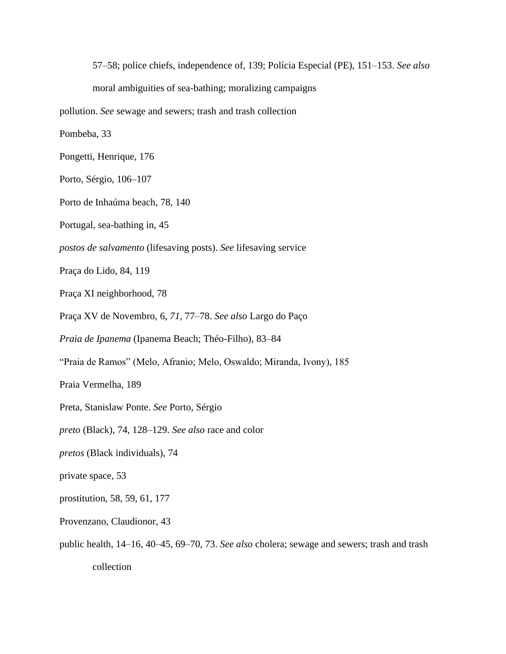57–58; police chiefs, independence of, 139; Polícia Especial (PE), 151–153. *See also* moral ambiguities of sea-bathing; moralizing campaigns pollution. *See* sewage and sewers; trash and trash collection Pombeba, 33 Pongetti, Henrique, 176 Porto, Sérgio, 106–107 Porto de Inhaúma beach, 78, 140 Portugal, sea-bathing in, 45 *postos de salvamento* (lifesaving posts). *See* lifesaving service Praça do Lido, 84, 119 Praça XI neighborhood, 78 Praça XV de Novembro, 6, *71,* 77–78. *See also* Largo do Paço *Praia de Ipanema* (Ipanema Beach; Théo-Filho), 83–84 "Praia de Ramos" (Melo, Afranio; Melo, Oswaldo; Miranda, Ivony), 185 Praia Vermelha, 189 Preta, Stanislaw Ponte. *See* Porto, Sérgio *preto* (Black), 74, 128–129. *See also* race and color *pretos* (Black individuals), 74 private space, 53 prostitution, 58, 59, 61, 177 Provenzano, Claudionor, 43 public health, 14–16, 40–45, 69–70, 73. *See also* cholera; sewage and sewers; trash and trash collection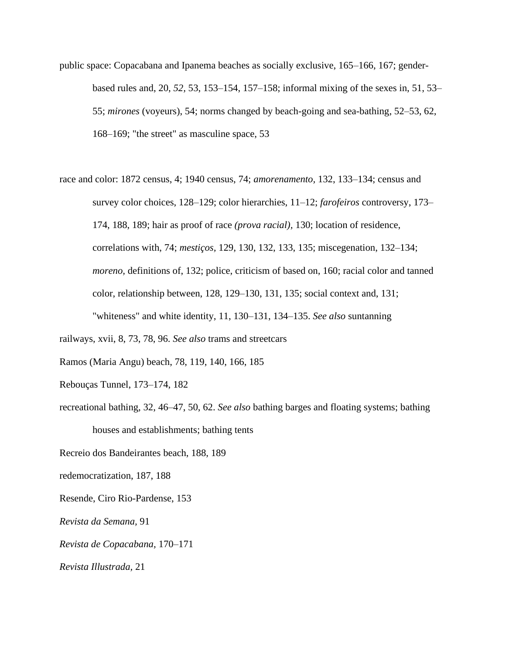- public space: Copacabana and Ipanema beaches as socially exclusive, 165–166, 167; genderbased rules and, 20, *52,* 53, 153–154, 157–158; informal mixing of the sexes in, 51, 53– 55; *mirones* (voyeurs), 54; norms changed by beach-going and sea-bathing, 52–53, 62, 168–169; "the street" as masculine space, 53
- race and color: 1872 census, 4; 1940 census, 74; *amorenamento,* 132, 133–134; census and survey color choices, 128–129; color hierarchies, 11–12; *farofeiros* controversy, 173– 174, 188, 189; hair as proof of race *(prova racial),* 130; location of residence, correlations with, 74; *mestiços,* 129, 130, 132, 133, 135; miscegenation, 132–134; *moreno,* definitions of, 132; police, criticism of based on, 160; racial color and tanned color, relationship between, 128, 129–130, 131, 135; social context and, 131; "whiteness" and white identity, 11, 130–131, 134–135. *See also* suntanning

railways, xvii, 8, 73, 78, 96. *See also* trams and streetcars

Ramos (Maria Angu) beach, 78, 119, 140, 166, 185

- Rebouças Tunnel, 173–174, 182
- recreational bathing, 32, 46–47, 50, 62. *See also* bathing barges and floating systems; bathing houses and establishments; bathing tents

Recreio dos Bandeirantes beach, 188, 189

- redemocratization, 187, 188
- Resende, Ciro Rio-Pardense, 153
- *Revista da Semana,* 91
- *Revista de Copacabana,* 170–171

*Revista Illustrada,* 21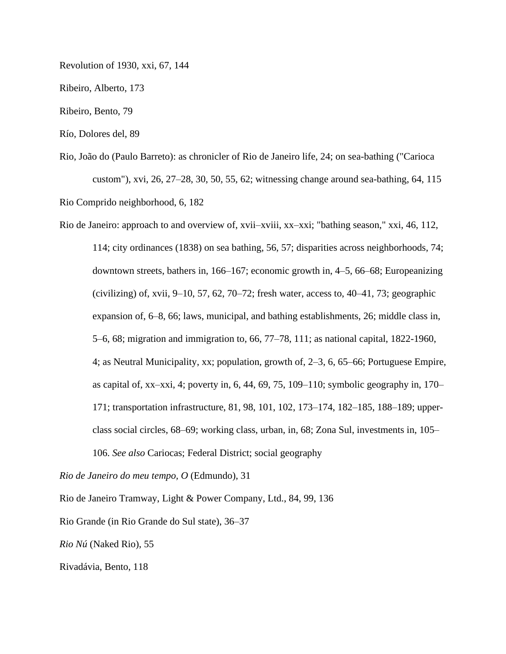Revolution of 1930, xxi, 67, 144

Ribeiro, Alberto, 173

Ribeiro, Bento, 79

Río, Dolores del, 89

Rio, João do (Paulo Barreto): as chronicler of Rio de Janeiro life, 24; on sea-bathing ("Carioca custom"), xvi, 26, 27–28, 30, 50, 55, 62; witnessing change around sea-bathing, 64, 115 Rio Comprido neighborhood, 6, 182

Rio de Janeiro: approach to and overview of, xvii–xviii, xx–xxi; "bathing season," xxi, 46, 112, 114; city ordinances (1838) on sea bathing, 56, 57; disparities across neighborhoods, 74; downtown streets, bathers in, 166–167; economic growth in, 4–5, 66–68; Europeanizing (civilizing) of, xvii,  $9-10$ , 57, 62, 70–72; fresh water, access to, 40–41, 73; geographic expansion of, 6–8, 66; laws, municipal, and bathing establishments, 26; middle class in, 5–6, 68; migration and immigration to, 66, 77–78, 111; as national capital, 1822-1960, 4; as Neutral Municipality, xx; population, growth of, 2–3, 6, 65–66; Portuguese Empire, as capital of, xx–xxi, 4; poverty in, 6, 44, 69, 75, 109–110; symbolic geography in, 170– 171; transportation infrastructure, 81, 98, 101, 102, 173–174, 182–185, 188–189; upperclass social circles, 68–69; working class, urban, in, 68; Zona Sul, investments in, 105– 106. *See also* Cariocas; Federal District; social geography

*Rio de Janeiro do meu tempo, O* (Edmundo), 31

Rio de Janeiro Tramway, Light & Power Company, Ltd., 84, 99, 136

Rio Grande (in Rio Grande do Sul state), 36–37

*Rio Nú* (Naked Rio), 55

Rivadávia, Bento, 118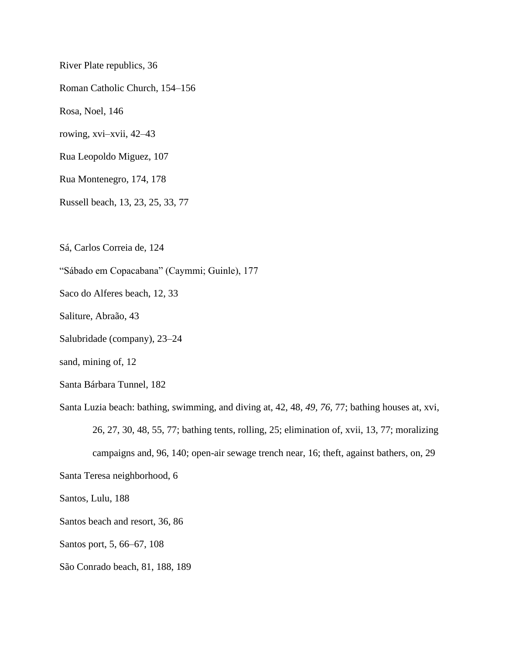River Plate republics, 36 Roman Catholic Church, 154–156 Rosa, Noel, 146 rowing, xvi–xvii, 42–43 Rua Leopoldo Miguez, 107 Rua Montenegro, 174, 178 Russell beach, 13, 23, 25, 33, 77 Sá, Carlos Correia de, 124 "Sábado em Copacabana" (Caymmi; Guinle), 177 Saco do Alferes beach, 12, 33 Saliture, Abraão, 43 Salubridade (company), 23–24 sand, mining of, 12 Santa Bárbara Tunnel, 182 Santa Luzia beach: bathing, swimming, and diving at, 42, 48, *49, 76,* 77; bathing houses at, xvi, 26, 27, 30, 48, 55, 77; bathing tents, rolling, 25; elimination of, xvii, 13, 77; moralizing campaigns and, 96, 140; open-air sewage trench near, 16; theft, against bathers, on, 29

Santa Teresa neighborhood, 6

Santos, Lulu, 188

Santos beach and resort, 36, 86

Santos port, 5, 66–67, 108

São Conrado beach, 81, 188, 189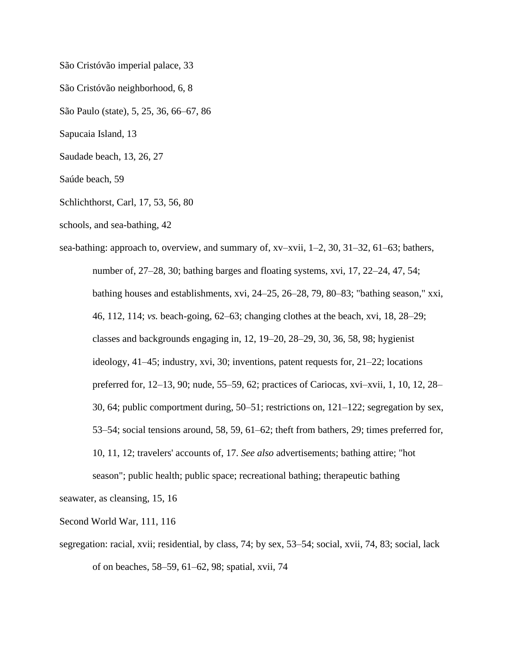São Cristóvão imperial palace, 33

São Cristóvão neighborhood, 6, 8

São Paulo (state), 5, 25, 36, 66–67, 86

Sapucaia Island, 13

Saudade beach, 13, 26, 27

Saúde beach, 59

Schlichthorst, Carl, 17, 53, 56, 80

schools, and sea-bathing, 42

sea-bathing: approach to, overview, and summary of, xv–xvii, 1–2, 30, 31–32, 61–63; bathers, number of, 27–28, 30; bathing barges and floating systems, xvi, 17, 22–24, 47, 54; bathing houses and establishments, xvi, 24–25, 26–28, 79, 80–83; "bathing season," xxi, 46, 112, 114; *vs.* beach-going, 62–63; changing clothes at the beach, xvi, 18, 28–29; classes and backgrounds engaging in, 12, 19–20, 28–29, 30, 36, 58, 98; hygienist ideology, 41–45; industry, xvi, 30; inventions, patent requests for, 21–22; locations preferred for, 12–13, 90; nude, 55–59, 62; practices of Cariocas, xvi–xvii, 1, 10, 12, 28– 30, 64; public comportment during, 50–51; restrictions on, 121–122; segregation by sex, 53–54; social tensions around, 58, 59, 61–62; theft from bathers, 29; times preferred for, 10, 11, 12; travelers' accounts of, 17. *See also* advertisements; bathing attire; "hot season"; public health; public space; recreational bathing; therapeutic bathing

seawater, as cleansing, 15, 16

Second World War, 111, 116

segregation: racial, xvii; residential, by class, 74; by sex, 53–54; social, xvii, 74, 83; social, lack of on beaches, 58–59, 61–62, 98; spatial, xvii, 74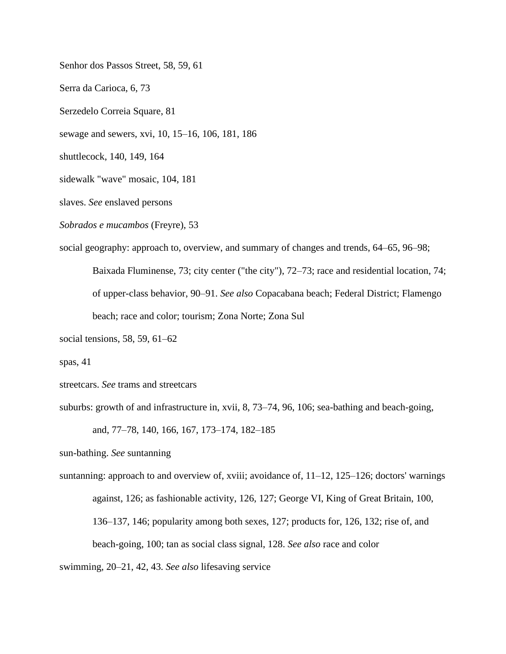Senhor dos Passos Street, 58, 59, 61 Serra da Carioca, 6, 73 Serzedelo Correia Square, 81 sewage and sewers, xvi, 10, 15–16, 106, 181, 186 shuttlecock, 140, 149, 164 sidewalk "wave" mosaic, 104, 181 slaves. *See* enslaved persons *Sobrados e mucambos* (Freyre), 53 social geography: approach to, overview, and summary of changes and trends, 64–65, 96–98; Baixada Fluminense, 73; city center ("the city"), 72–73; race and residential location, 74; of upper-class behavior, 90–91. *See also* Copacabana beach; Federal District; Flamengo

beach; race and color; tourism; Zona Norte; Zona Sul

social tensions, 58, 59, 61–62

spas, 41

streetcars. *See* trams and streetcars

suburbs: growth of and infrastructure in, xvii, 8, 73–74, 96, 106; sea-bathing and beach-going,

and, 77–78, 140, 166, 167, 173–174, 182–185

sun-bathing. *See* suntanning

suntanning: approach to and overview of, xviii; avoidance of, 11–12, 125–126; doctors' warnings against, 126; as fashionable activity, 126, 127; George VI, King of Great Britain, 100, 136–137, 146; popularity among both sexes, 127; products for, 126, 132; rise of, and beach-going, 100; tan as social class signal, 128. *See also* race and color

swimming, 20–21, 42, 43. *See also* lifesaving service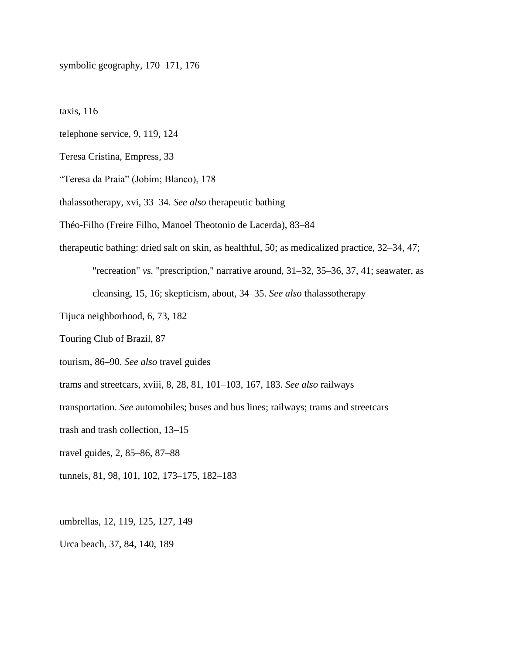symbolic geography, 170–171, 176

taxis, 116

telephone service, 9, 119, 124

Teresa Cristina, Empress, 33

"Teresa da Praia" (Jobim; Blanco), 178

thalassotherapy, xvi, 33–34. *See also* therapeutic bathing

Théo-Filho (Freire Filho, Manoel Theotonio de Lacerda), 83–84

therapeutic bathing: dried salt on skin, as healthful, 50; as medicalized practice, 32–34, 47;

"recreation" *vs.* "prescription," narrative around, 31–32, 35–36, 37, 41; seawater, as cleansing, 15, 16; skepticism, about, 34–35. *See also* thalassotherapy

- Tijuca neighborhood, 6, 73, 182
- Touring Club of Brazil, 87

tourism, 86–90. *See also* travel guides

trams and streetcars, xviii, 8, 28, 81, 101–103, 167, 183. *See also* railways

transportation. *See* automobiles; buses and bus lines; railways; trams and streetcars

trash and trash collection, 13–15

travel guides, 2, 85–86, 87–88

tunnels, 81, 98, 101, 102, 173–175, 182–183

umbrellas, 12, 119, 125, 127, 149

Urca beach, 37, 84, 140, 189